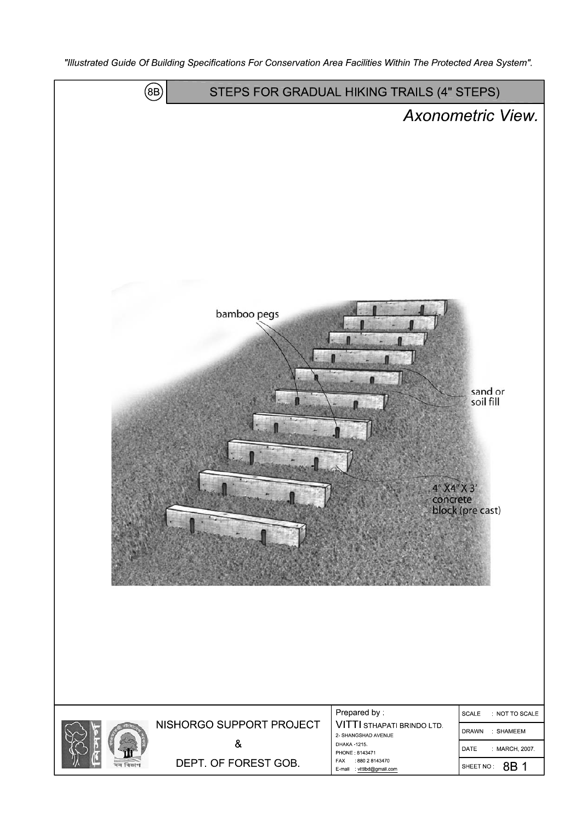"Illustrated Guide Of Building Specifications For Conservation Area Facilities Within The Protected Area System".

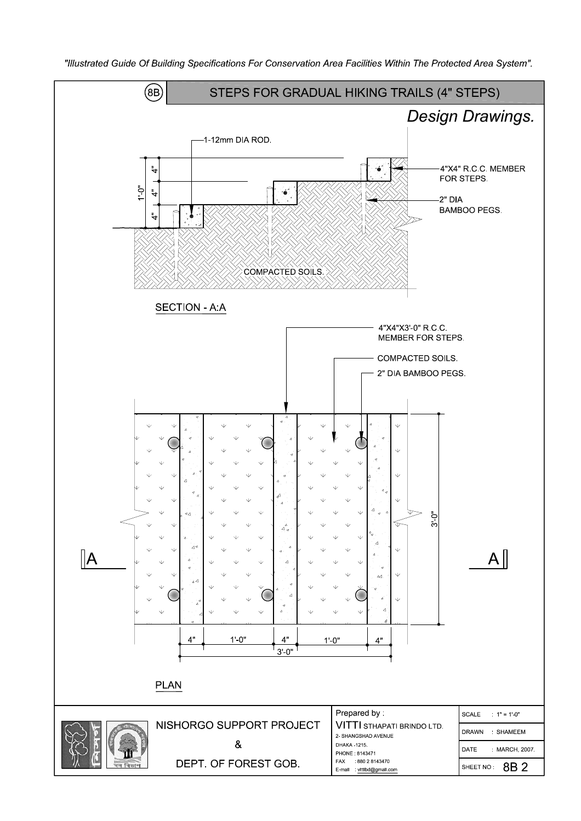

"Illustrated Guide Of Building Specifications For Conservation Area Facilities Within The Protected Area System".